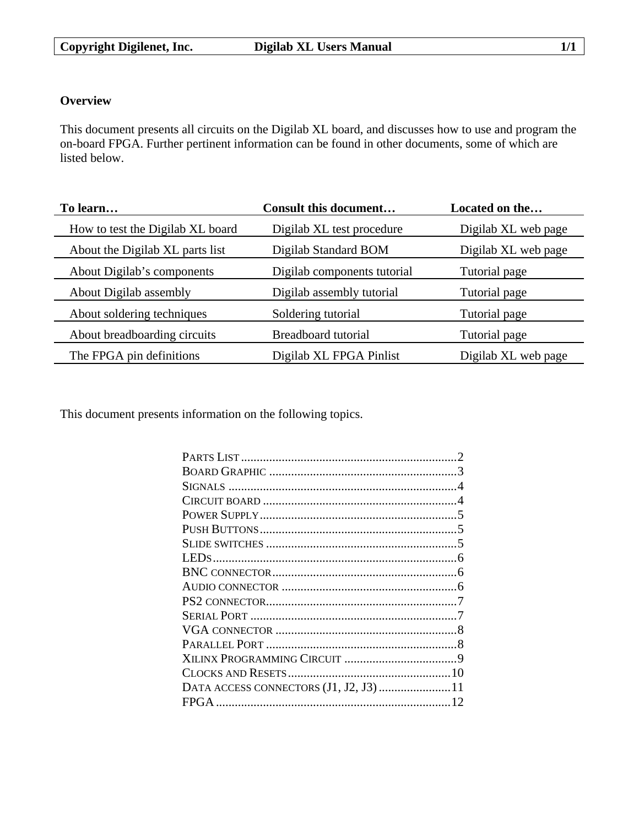# **Overview**

This document presents all circuits on the Digilab XL board, and discusses how to use and program the on-board FPGA. Further pertinent information can be found in other documents, some of which are listed below.

| To learn                         | <b>Consult this document</b> | Located on the      |
|----------------------------------|------------------------------|---------------------|
| How to test the Digilab XL board | Digilab XL test procedure    | Digilab XL web page |
| About the Digilab XL parts list  | Digilab Standard BOM         | Digilab XL web page |
| About Digilab's components       | Digilab components tutorial  | Tutorial page       |
| About Digilab assembly           | Digilab assembly tutorial    | Tutorial page       |
| About soldering techniques       | Soldering tutorial           | Tutorial page       |
| About breadboarding circuits     | Breadboard tutorial          | Tutorial page       |
| The FPGA pin definitions         | Digilab XL FPGA Pinlist      | Digilab XL web page |

This document presents information on the following topics.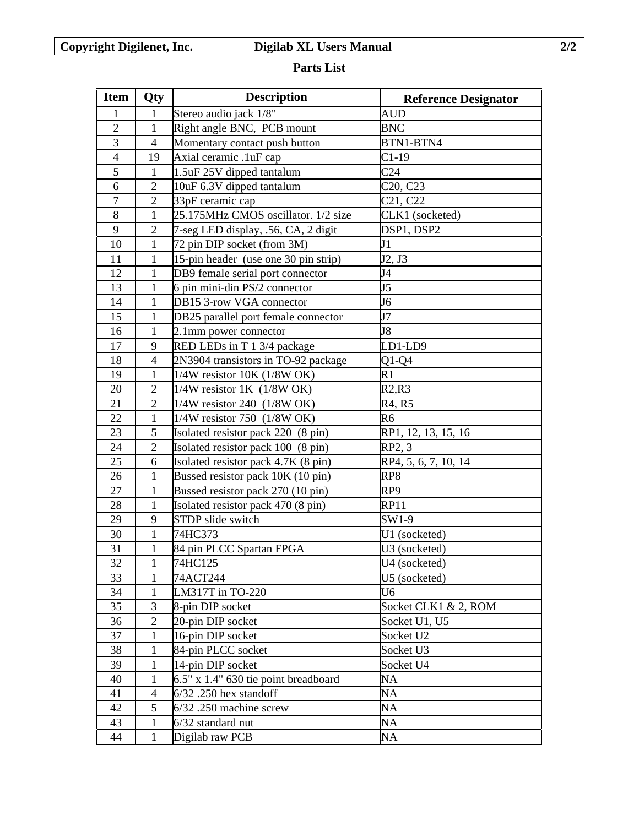# **Parts List**

| <b>Item</b>    | Qty            | <b>Description</b>                   | <b>Reference Designator</b>       |  |
|----------------|----------------|--------------------------------------|-----------------------------------|--|
| 1              | 1              | Stereo audio jack 1/8"               | <b>AUD</b>                        |  |
| $\overline{2}$ | $\mathbf{1}$   | Right angle BNC, PCB mount           | <b>BNC</b>                        |  |
| 3              | $\overline{4}$ | Momentary contact push button        | BTN1-BTN4                         |  |
| $\overline{4}$ | 19             | Axial ceramic .1uF cap               | $C1-19$                           |  |
| 5              | $\mathbf{1}$   | 1.5uF 25V dipped tantalum            | C <sub>24</sub>                   |  |
| 6              | $\overline{2}$ | 10uF 6.3V dipped tantalum            | C <sub>20</sub> , C <sub>23</sub> |  |
| $\overline{7}$ | $\mathbf{2}$   | 33pF ceramic cap                     | C <sub>21</sub> , C <sub>22</sub> |  |
| $8\,$          | 1              | 25.175MHz CMOS oscillator. 1/2 size  | CLK1 (socketed)                   |  |
| 9              | $\overline{2}$ | 7-seg LED display, .56, CA, 2 digit  | DSP1, DSP2                        |  |
| 10             | $\mathbf{1}$   | 72 pin DIP socket (from 3M)          | J1                                |  |
| 11             | 1              | 15-pin header (use one 30 pin strip) | J2, J3                            |  |
| 12             | $\mathbf{1}$   | DB9 female serial port connector     | J <sub>4</sub>                    |  |
| 13             | $\mathbf{1}$   | 6 pin mini-din PS/2 connector        | J <sub>5</sub>                    |  |
| 14             | 1              | DB15 3-row VGA connector             | J <sub>6</sub>                    |  |
| 15             | $\mathbf{1}$   | DB25 parallel port female connector  | J7                                |  |
| 16             | $\mathbf{1}$   | 2.1mm power connector                | J <sub>8</sub>                    |  |
| 17             | 9              | RED LEDs in T 1 3/4 package          | LD1-LD9                           |  |
| 18             | $\overline{4}$ | 2N3904 transistors in TO-92 package  | $Q1-Q4$                           |  |
| 19             | $\mathbf{1}$   | $1/4W$ resistor 10K (1/8W OK)        | R1                                |  |
| 20             | $\overline{2}$ | $1/4W$ resistor 1K $(1/8W)$ OK)      | R2,R3                             |  |
| 21             | $\overline{2}$ | 1/4W resistor 240 (1/8W OK)          | R4, R5                            |  |
| 22             | $\mathbf{1}$   | 1/4W resistor 750 (1/8W OK)          | R <sub>6</sub>                    |  |
| 23             | 5              | Isolated resistor pack 220 (8 pin)   | RP1, 12, 13, 15, 16               |  |
| 24             | $\overline{2}$ | Isolated resistor pack 100 (8 pin)   | RP2, 3                            |  |
| 25             | 6              | Isolated resistor pack 4.7K (8 pin)  | RP4, 5, 6, 7, 10, 14              |  |
| 26             | $\mathbf{1}$   | Bussed resistor pack 10K (10 pin)    | RP8                               |  |
| 27             | $\mathbf{1}$   | Bussed resistor pack 270 (10 pin)    | RP <sub>9</sub>                   |  |
| 28             | $\mathbf{1}$   | Isolated resistor pack 470 (8 pin)   | <b>RP11</b>                       |  |
| 29             | 9              | STDP slide switch                    | SW1-9                             |  |
| 30             | 1              | 74HC373                              | U1 (socketed)                     |  |
| 31             | $\mathbf{1}$   | 84 pin PLCC Spartan FPGA             | U3 (socketed)                     |  |
| 32             | $\mathbf{1}$   | 74HC125                              | U4 (socketed)                     |  |
| 33             | 1              | 74ACT244                             | U5 (socketed)                     |  |
| 34             | $\mathbf{1}$   | LM317T in TO-220                     | U <sub>6</sub>                    |  |
| 35             | 3              | 8-pin DIP socket                     | Socket CLK1 & 2, ROM              |  |
| 36             | $\overline{2}$ | 20-pin DIP socket                    | Socket U1, U5                     |  |
| 37             | 1              | 16-pin DIP socket                    | Socket U2                         |  |
| 38             | 1              | 84-pin PLCC socket                   | Socket U3                         |  |
| 39             | 1              | 14-pin DIP socket                    | Socket U4                         |  |
| 40             | 1              | 6.5" x 1.4" 630 tie point breadboard | NA                                |  |
| 41             | 4              | $6/32$ . 250 hex standoff            | NA                                |  |
| 42             | 5              | $6/32$ . 250 machine screw           | NA                                |  |
| 43             | $\mathbf{1}$   | 6/32 standard nut                    | NA                                |  |
| 44             | $\mathbf{1}$   | Digilab raw PCB                      | NA                                |  |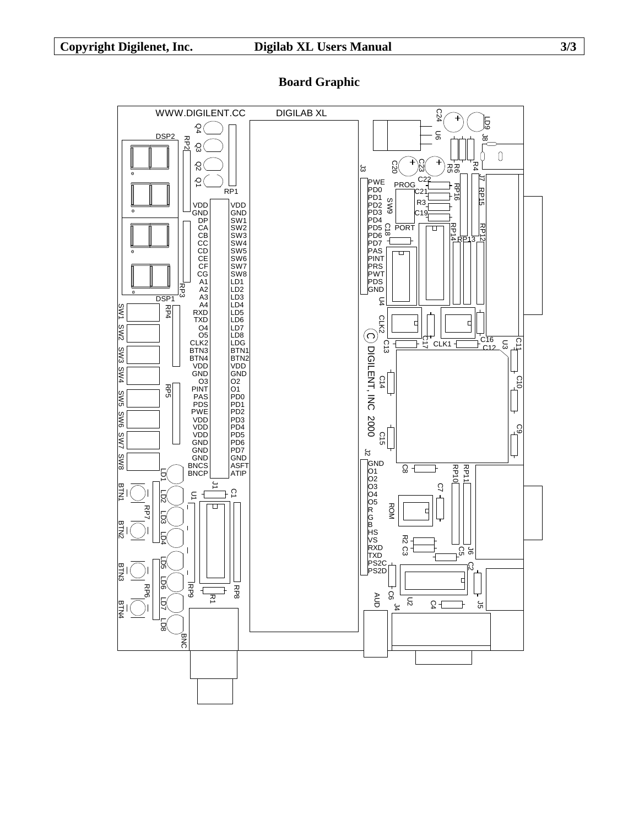WWW.DIGILENT.CC DIGILAB XL C24 LD9 Q4 U6 DSP<sub>2</sub> အ RP2 Q3  $\mathbb O$ Ò Q2 C20 C23  $R_4$ 5g ಸ್ಥ<br>೧೧  $C<sub>2</sub>$ 5  $\overline{6}$ PROG PWE PD0 PD1 PD2 PD3 PD4 PD5 PD6 PD7 PP16  $R$ P<sub>1</sub> RP15 מי SW9 R3 VDD GND VDD GND C19 D<sub>P</sub> SW1 RP14 SW2 C<br>8 PORT CA CB CC CD CE CF CG A1 A2 A3 A4 RXD TXD O4 O5 CLK2 BTN3 BTN4 VDD GND O3 PINT PAS PDS PWE VDD VDD VDD GND GND GND BNCS BNCP  $\Box$ RP12 SW3 SW4 SW5 RP13 PAS SW6 PINT<br>PRS<br>PWT<br>PDS<br>GND SW7<br>SW8<br>LD1<br>LD2 RP3 DSP<sub>1</sub> LD<sub>3</sub> U4 LD4 LD5 LD6 LD7 RP4 SW1 CLK2  $\overline{F}$  $\frac{1}{\sqrt{2}}$ SW2  $\bigodot$ LD8<br>BTN2<br>BTN2DDD<br>CO2 O1<br>PDD2<br>PDDPDD6<br>PDDPDDFDDASFT<br>ATIP ر<br>117 C13 C16<br>C12 C11 CLK<sub>1</sub> U3 DIGILENT, INC 2000 SW3 DIGILENT, INC 2000 SW4 C14  $\overline{a}$ RP5 P65 RP5 RP5 RP5 RP5 RP5 RP5 RP5 RP5 SW5 SW6 င္မ C15 SW7  $\frac{1}{2}$ SW8 GND O1 O2 O3 O4 O5 R G B HS VS RXD TXD PS2C P & RP 전<br>10<br>10 Ŕ  $\overline{1}$ BTN<sup>2</sup> C7  $\overline{1}$   $\overline{0}$  $\overline{\Xi}$  $\overline{1}$ LD2 ROM  $\Box$  $\frac{1}{2}$ RP7 LD3 BTN2 LD4 R<br>22  $\Omega$ ဌ မ LD5 <u>က</u> BTN: .<br>PS2D ᅥ LD6 RP9 RP8 RP6  $\leftarrow$  $\exists$  $\overline{z}$ AUD C6  $\overline{5}$ <u>ר</u>  $\Gamma$   $\Omega$ BTN4 ጉ J5  $\frac{1}{4}$ BNC

# **Board Graphic**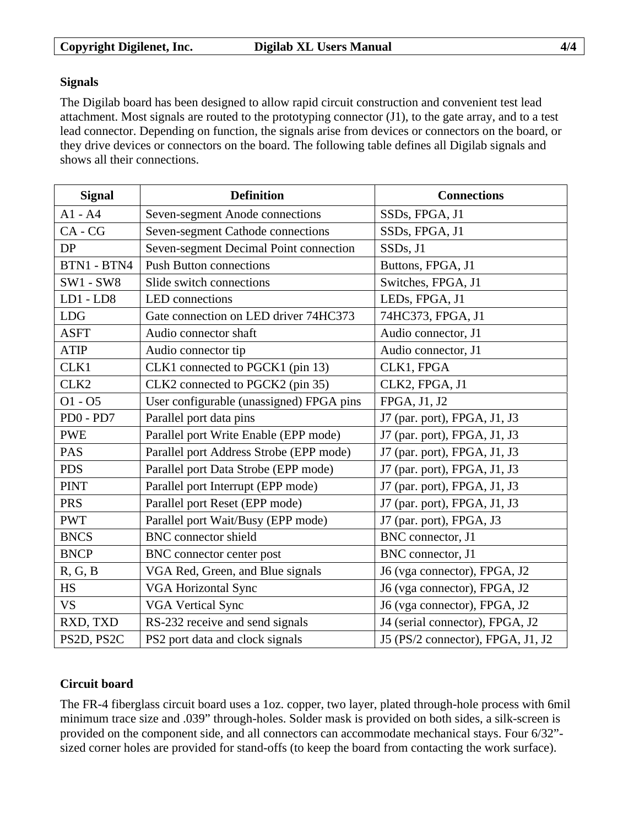## **Signals**

The Digilab board has been designed to allow rapid circuit construction and convenient test lead attachment. Most signals are routed to the prototyping connector (J1), to the gate array, and to a test lead connector. Depending on function, the signals arise from devices or connectors on the board, or they drive devices or connectors on the board. The following table defines all Digilab signals and shows all their connections.

| <b>Signal</b>    | <b>Definition</b>                                        | <b>Connections</b>                |  |
|------------------|----------------------------------------------------------|-----------------------------------|--|
| $A1 - A4$        | Seven-segment Anode connections                          | SSDs, FPGA, J1                    |  |
| $CA - CG$        | Seven-segment Cathode connections                        | SSDs, FPGA, J1                    |  |
| DP               | Seven-segment Decimal Point connection                   | SSDs, J1                          |  |
| BTN1 - BTN4      | <b>Push Button connections</b>                           | Buttons, FPGA, J1                 |  |
| $SW1 - SW8$      | Slide switch connections                                 | Switches, FPGA, J1                |  |
| $LD1 - LD8$      | LED connections                                          | LEDs, FPGA, J1                    |  |
| <b>LDG</b>       | Gate connection on LED driver 74HC373                    | 74HC373, FPGA, J1                 |  |
| <b>ASFT</b>      | Audio connector shaft                                    | Audio connector, J1               |  |
| <b>ATIP</b>      | Audio connector tip                                      | Audio connector, J1               |  |
| CLK1             | CLK1 connected to PGCK1 (pin 13)                         | CLK1, FPGA                        |  |
| CLK <sub>2</sub> | CLK2 connected to PGCK2 (pin 35)                         | CLK2, FPGA, J1                    |  |
| $01 - 05$        | User configurable (unassigned) FPGA pins                 | FPGA, J1, J2                      |  |
| PD0 - PD7        | Parallel port data pins                                  | J7 (par. port), FPGA, J1, J3      |  |
| <b>PWE</b>       | Parallel port Write Enable (EPP mode)                    | J7 (par. port), FPGA, J1, J3      |  |
| <b>PAS</b>       | Parallel port Address Strobe (EPP mode)                  | J7 (par. port), FPGA, J1, J3      |  |
| <b>PDS</b>       | Parallel port Data Strobe (EPP mode)                     | J7 (par. port), FPGA, J1, J3      |  |
| <b>PINT</b>      | Parallel port Interrupt (EPP mode)                       | J7 (par. port), FPGA, J1, J3      |  |
| <b>PRS</b>       | Parallel port Reset (EPP mode)                           | J7 (par. port), FPGA, J1, J3      |  |
| <b>PWT</b>       | Parallel port Wait/Busy (EPP mode)                       | J7 (par. port), FPGA, J3          |  |
| <b>BNCS</b>      | <b>BNC</b> connector shield                              | BNC connector, J1                 |  |
| <b>BNCP</b>      | BNC connector center post                                | BNC connector, J1                 |  |
| R, G, B          | VGA Red, Green, and Blue signals                         | J6 (vga connector), FPGA, J2      |  |
| <b>HS</b>        | <b>VGA Horizontal Sync</b>                               | J6 (vga connector), FPGA, J2      |  |
| <b>VS</b>        | <b>VGA Vertical Sync</b><br>J6 (vga connector), FPGA, J2 |                                   |  |
| RXD, TXD         | RS-232 receive and send signals                          | J4 (serial connector), FPGA, J2   |  |
| PS2D, PS2C       | PS2 port data and clock signals                          | J5 (PS/2 connector), FPGA, J1, J2 |  |

# **Circuit board**

The FR-4 fiberglass circuit board uses a 1oz. copper, two layer, plated through-hole process with 6mil minimum trace size and .039" through-holes. Solder mask is provided on both sides, a silk-screen is provided on the component side, and all connectors can accommodate mechanical stays. Four 6/32" sized corner holes are provided for stand-offs (to keep the board from contacting the work surface).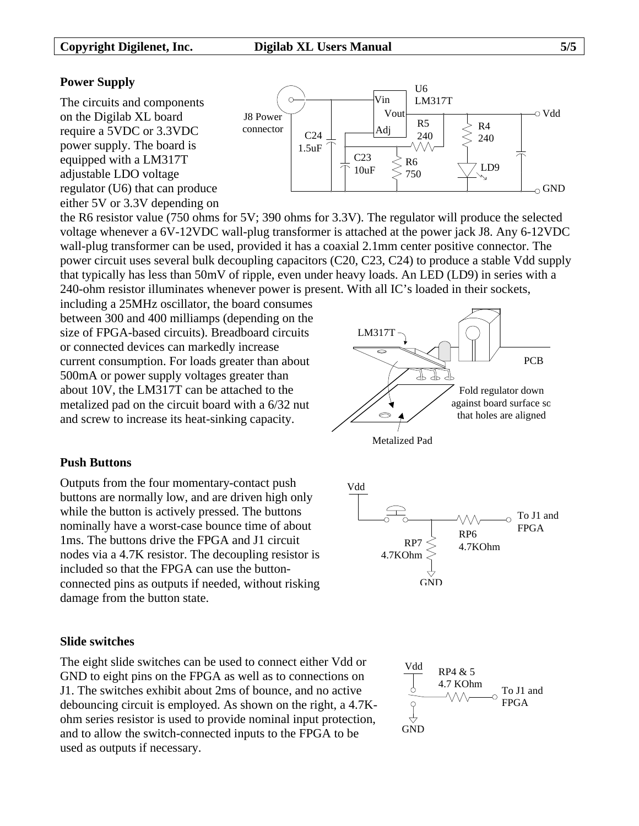## **Power Supply**

The circuits and components on the Digilab XL board require a 5VDC or 3.3VDC power supply. The board is equipped with a LM317T adjustable LDO voltage regulator (U6) that can produce either 5V or 3.3V depending on



the R6 resistor value (750 ohms for 5V; 390 ohms for 3.3V). The regulator will produce the selected voltage whenever a 6V-12VDC wall-plug transformer is attached at the power jack J8. Any 6-12VDC wall-plug transformer can be used, provided it has a coaxial 2.1mm center positive connector. The power circuit uses several bulk decoupling capacitors (C20, C23, C24) to produce a stable Vdd supply that typically has less than 50mV of ripple, even under heavy loads. An LED (LD9) in series with a 240-ohm resistor illuminates whenever power is present. With all IC's loaded in their sockets,

including a 25MHz oscillator, the board consumes between 300 and 400 milliamps (depending on the size of FPGA-based circuits). Breadboard circuits or connected devices can markedly increase current consumption. For loads greater than about 500mA or power supply voltages greater than about 10V, the LM317T can be attached to the metalized pad on the circuit board with a 6/32 nut and screw to increase its heat-sinking capacity.





## **Push Buttons**

Outputs from the four momentary-contact push buttons are normally low, and are driven high only while the button is actively pressed. The buttons nominally have a worst-case bounce time of about 1ms. The buttons drive the FPGA and J1 circuit nodes via a 4.7K resistor. The decoupling resistor is included so that the FPGA can use the buttonconnected pins as outputs if needed, without risking damage from the button state.

## **Slide switches**

The eight slide switches can be used to connect either Vdd or GND to eight pins on the FPGA as well as to connections on J1. The switches exhibit about 2ms of bounce, and no active debouncing circuit is employed. As shown on the right, a 4.7Kohm series resistor is used to provide nominal input protection, and to allow the switch-connected inputs to the FPGA to be used as outputs if necessary.



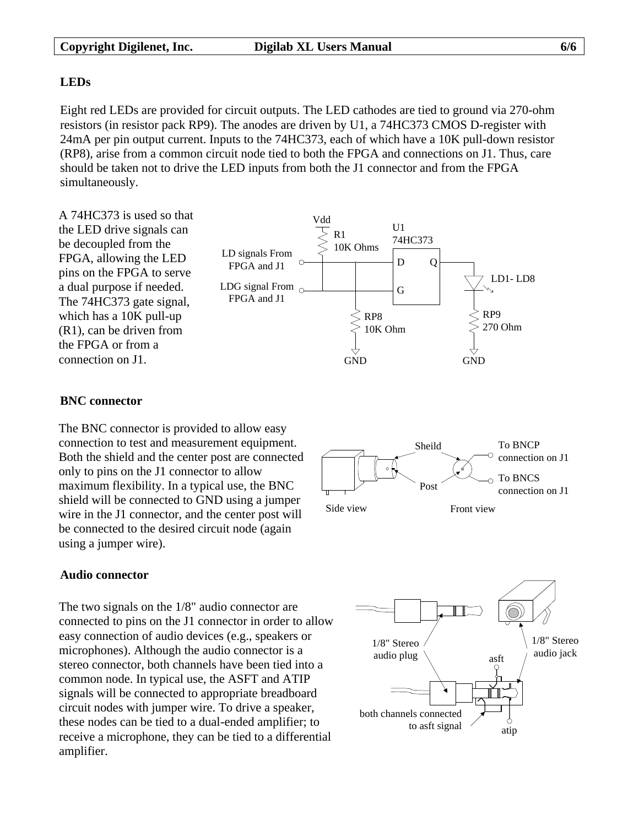## **LEDs**

Eight red LEDs are provided for circuit outputs. The LED cathodes are tied to ground via 270-ohm resistors (in resistor pack RP9). The anodes are driven by U1, a 74HC373 CMOS D-register with 24mA per pin output current. Inputs to the 74HC373, each of which have a 10K pull-down resistor (RP8), arise from a common circuit node tied to both the FPGA and connections on J1. Thus, care should be taken not to drive the LED inputs from both the J1 connector and from the FPGA simultaneously.



## **BNC connector**

The BNC connector is provided to allow easy connection to test and measurement equipment. Both the shield and the center post are connected only to pins on the J1 connector to allow maximum flexibility. In a typical use, the BNC shield will be connected to GND using a jumper wire in the J1 connector, and the center post will be connected to the desired circuit node (again using a jumper wire).



# **Audio connector**

The two signals on the 1/8" audio connector are connected to pins on the J1 connector in order to allow easy connection of audio devices (e.g., speakers or microphones). Although the audio connector is a stereo connector, both channels have been tied into a common node. In typical use, the ASFT and ATIP signals will be connected to appropriate breadboard circuit nodes with jumper wire. To drive a speaker, these nodes can be tied to a dual-ended amplifier; to receive a microphone, they can be tied to a differential amplifier.

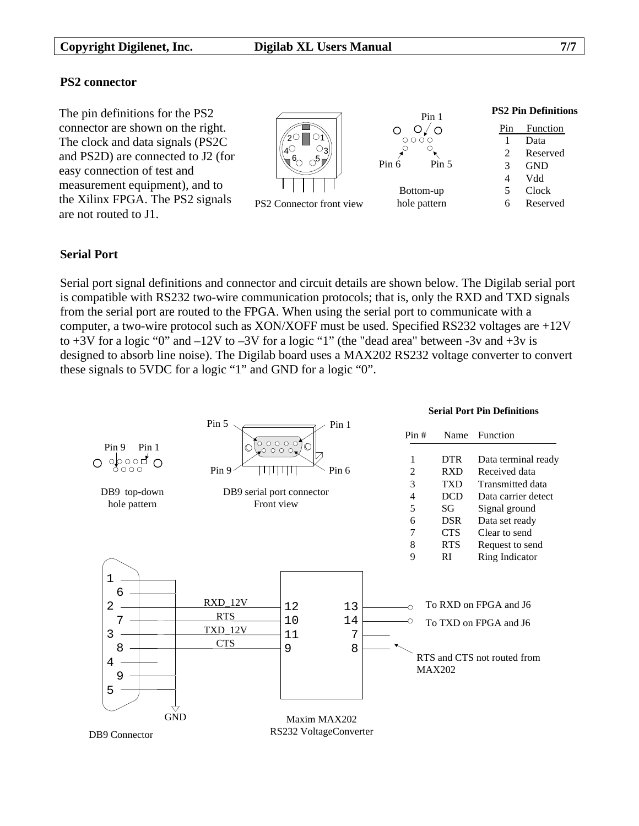The pin definitions for the PS2 connector are shown on the right. The clock and data signals (PS2C and PS2D) are connected to J2 (for easy connection of test and measurement equipment), and to the Xilinx FPGA. The PS2 signals are not routed to J1.





### **PS2 Pin Definitions**

| Pin | <b>Function</b> |
|-----|-----------------|
| ı   | Data            |
| 2   | Reserved        |
| 3   | GND             |
| 4   | Vdd             |
| 5   | Clock           |
|     | Reserved        |

## **Serial Port**

Serial port signal definitions and connector and circuit details are shown below. The Digilab serial port is compatible with RS232 two-wire communication protocols; that is, only the RXD and TXD signals from the serial port are routed to the FPGA. When using the serial port to communicate with a computer, a two-wire protocol such as XON/XOFF must be used. Specified RS232 voltages are +12V to  $+3V$  for a logic "0" and  $-12V$  to  $-3V$  for a logic "1" (the "dead area" between  $-3v$  and  $+3v$  is designed to absorb line noise). The Digilab board uses a MAX202 RS232 voltage converter to convert these signals to 5VDC for a logic "1" and GND for a logic "0".

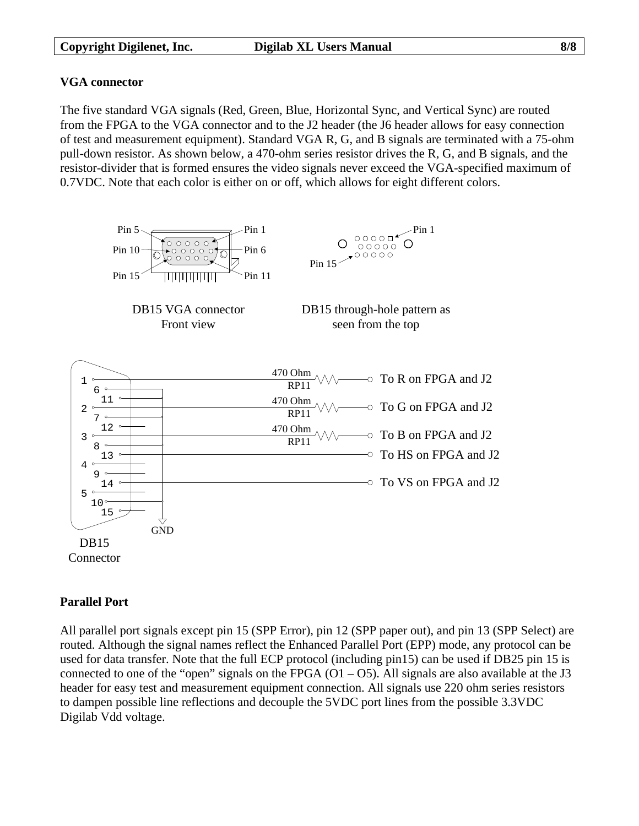# **VGA connector**

The five standard VGA signals (Red, Green, Blue, Horizontal Sync, and Vertical Sync) are routed from the FPGA to the VGA connector and to the J2 header (the J6 header allows for easy connection of test and measurement equipment). Standard VGA R, G, and B signals are terminated with a 75-ohm pull-down resistor. As shown below, a 470-ohm series resistor drives the R, G, and B signals, and the resistor-divider that is formed ensures the video signals never exceed the VGA-specified maximum of 0.7VDC. Note that each color is either on or off, which allows for eight different colors.



# **Parallel Port**

All parallel port signals except pin 15 (SPP Error), pin 12 (SPP paper out), and pin 13 (SPP Select) are routed. Although the signal names reflect the Enhanced Parallel Port (EPP) mode, any protocol can be used for data transfer. Note that the full ECP protocol (including pin15) can be used if DB25 pin 15 is connected to one of the "open" signals on the FPGA  $(O1 - O5)$ . All signals are also available at the J3 header for easy test and measurement equipment connection. All signals use 220 ohm series resistors to dampen possible line reflections and decouple the 5VDC port lines from the possible 3.3VDC Digilab Vdd voltage.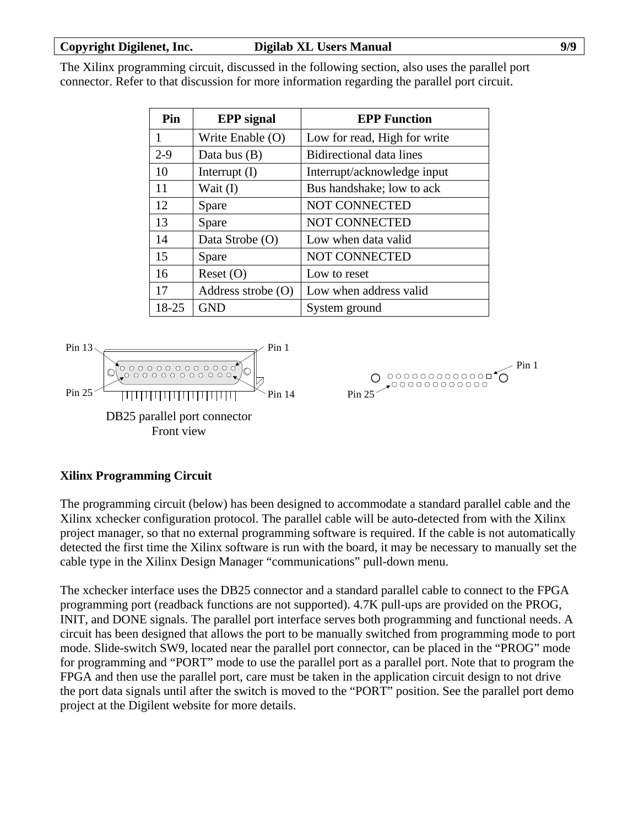The Xilinx programming circuit, discussed in the following section, also uses the parallel port connector. Refer to that discussion for more information regarding the parallel port circuit.

| Pin     | <b>EPP</b> signal  | <b>EPP Function</b>             |
|---------|--------------------|---------------------------------|
|         | Write Enable (O)   | Low for read, High for write    |
| $2 - 9$ | Data bus $(B)$     | <b>Bidirectional data lines</b> |
| 10      | Interrupt $(I)$    | Interrupt/acknowledge input     |
| 11      | Wait (I)           | Bus handshake; low to ack       |
| 12      | Spare              | <b>NOT CONNECTED</b>            |
| 13      | Spare              | <b>NOT CONNECTED</b>            |
| 14      | Data Strobe (O)    | Low when data valid             |
| 15      | Spare              | <b>NOT CONNECTED</b>            |
| 16      | Reset(O)           | Low to reset                    |
| 17      | Address strobe (O) | Low when address valid          |
| 18-25   | <b>GND</b>         | System ground                   |



 $>$  Pin 1  $O$  0000000000000  $O$  $\rightarrow$ 00000000000 Pin 25

# **Xilinx Programming Circuit**

The programming circuit (below) has been designed to accommodate a standard parallel cable and the Xilinx xchecker configuration protocol. The parallel cable will be auto-detected from with the Xilinx project manager, so that no external programming software is required. If the cable is not automatically detected the first time the Xilinx software is run with the board, it may be necessary to manually set the cable type in the Xilinx Design Manager "communications" pull-down menu.

The xchecker interface uses the DB25 connector and a standard parallel cable to connect to the FPGA programming port (readback functions are not supported). 4.7K pull-ups are provided on the PROG, INIT, and DONE signals. The parallel port interface serves both programming and functional needs. A circuit has been designed that allows the port to be manually switched from programming mode to port mode. Slide-switch SW9, located near the parallel port connector, can be placed in the "PROG" mode for programming and "PORT" mode to use the parallel port as a parallel port. Note that to program the FPGA and then use the parallel port, care must be taken in the application circuit design to not drive the port data signals until after the switch is moved to the "PORT" position. See the parallel port demo project at the Digilent website for more details.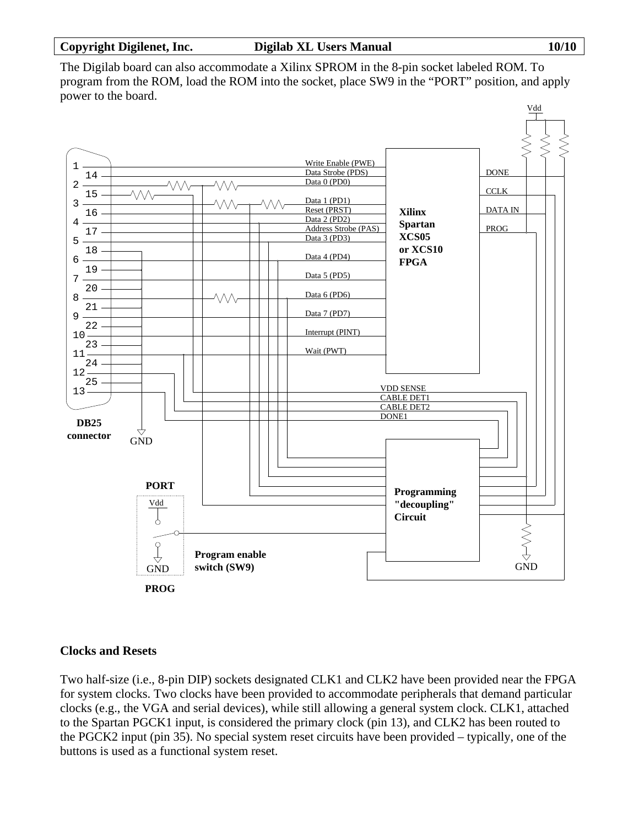The Digilab board can also accommodate a Xilinx SPROM in the 8-pin socket labeled ROM. To program from the ROM, load the ROM into the socket, place SW9 in the "PORT" position, and apply power to the board.



# **Clocks and Resets**

Two half-size (i.e., 8-pin DIP) sockets designated CLK1 and CLK2 have been provided near the FPGA for system clocks. Two clocks have been provided to accommodate peripherals that demand particular clocks (e.g., the VGA and serial devices), while still allowing a general system clock. CLK1, attached to the Spartan PGCK1 input, is considered the primary clock (pin 13), and CLK2 has been routed to the PGCK2 input (pin 35). No special system reset circuits have been provided – typically, one of the buttons is used as a functional system reset.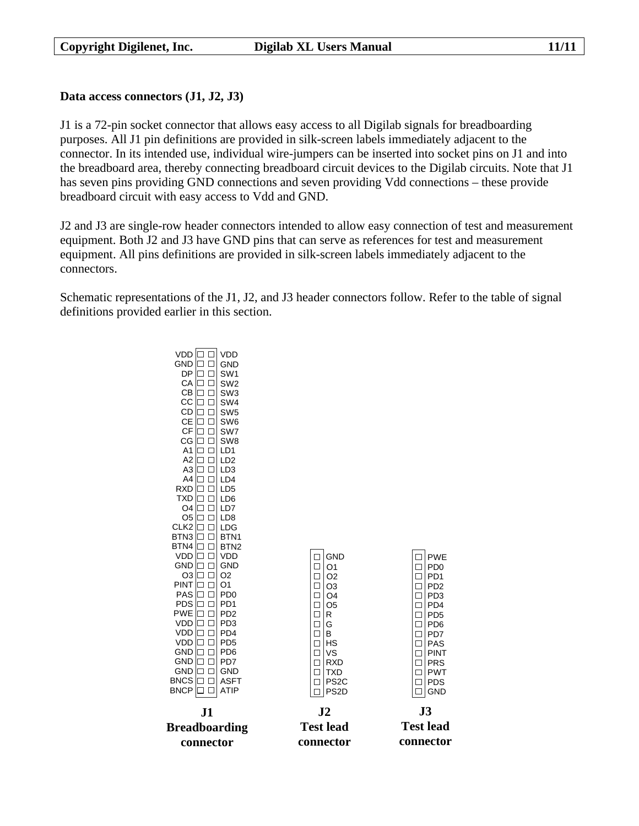## **Data access connectors (J1, J2, J3)**

J1 is a 72-pin socket connector that allows easy access to all Digilab signals for breadboarding purposes. All J1 pin definitions are provided in silk-screen labels immediately adjacent to the connector. In its intended use, individual wire-jumpers can be inserted into socket pins on J1 and into the breadboard area, thereby connecting breadboard circuit devices to the Digilab circuits. Note that J1 has seven pins providing GND connections and seven providing Vdd connections – these provide breadboard circuit with easy access to Vdd and GND.

J2 and J3 are single-row header connectors intended to allow easy connection of test and measurement equipment. Both J2 and J3 have GND pins that can serve as references for test and measurement equipment. All pins definitions are provided in silk-screen labels immediately adjacent to the connectors.

Schematic representations of the J1, J2, and J3 header connectors follow. Refer to the table of signal definitions provided earlier in this section.

> VDD VDD  $GND$   $\Box$ GND  $DP$  $\Box$ SW1  $CA$  $\Box$ SW2  $CB \Box \Box$ SW3  $CC$   $\Box$ SW4  $CD \Box \Box$ SW5 CE |□ □| SW6  $CF$  $\Box$ SW7  $CG \Box \Box$ SW8  $A1 \square \square$ LD1 LD2 A2 A3 |□ □| LD3  $A4 \Box \Box$  $LD4$  $RXD$   $\Box$ LD5 TXD |□ □| LD6  $O4$   $\Box$ LD7  $O5 \Box$ LD8  $CLK2$  $\Box$ LDG  $BTN3$   $\Box$ RTN<sub>1</sub>  $BTN4$   $\Box$ BTN2  $VDD \Box \Box$ PWE VDD  $\Box$ GND  $\Box$ GND GND  $\Box$ O1  $\Box$ PD0  $O3$  $\Box$  $\Box$  02 O2  $\Box$ PD1  $PINT$   $\Box$ O1  $\Box$ | O3  $\Box$ PD2  $PAS \Box \Box$ PD0  $\Box$  $\Box$ PD3  $\overline{)$ O4  $PDS \Box \Box$ PD1  $\Box$ O5  $\Box$ PD4  $PWE$  $\Box$ PD2  $\Box$  $\Box$ PD5 R  $VDD$   $\Box$ PD3  $\Box$  G  $\Box$ PD6  $VDD$  $\Box$ PD4  $\Box$ B  $\Box$ PD7 VDD **D** PD5  $\Box$ HS  $\Box$ PAS  $GND$  $\Box$ PD6  $\Box$ VS  $\Box$ PINT  $GND$   $\Box$ PD7 □ RXD  $\Box$ PRS  $GND$   $\Box$ GND  $\Box$ TXD  $\Box$ PWT  $\mathsf{BNCS} \, \Box \, \Box \, \mathsf{ASFT}$ PDS  $\Box$ PS2C  $\Box$  $\mathsf{BNCP} \left[ \Box \ \Box \right] \mathsf{ATIP}$ □ PS2D  $\Box$  GND **J2 J3 J1 Breadboarding Test lead Test lead connector connectorconnector**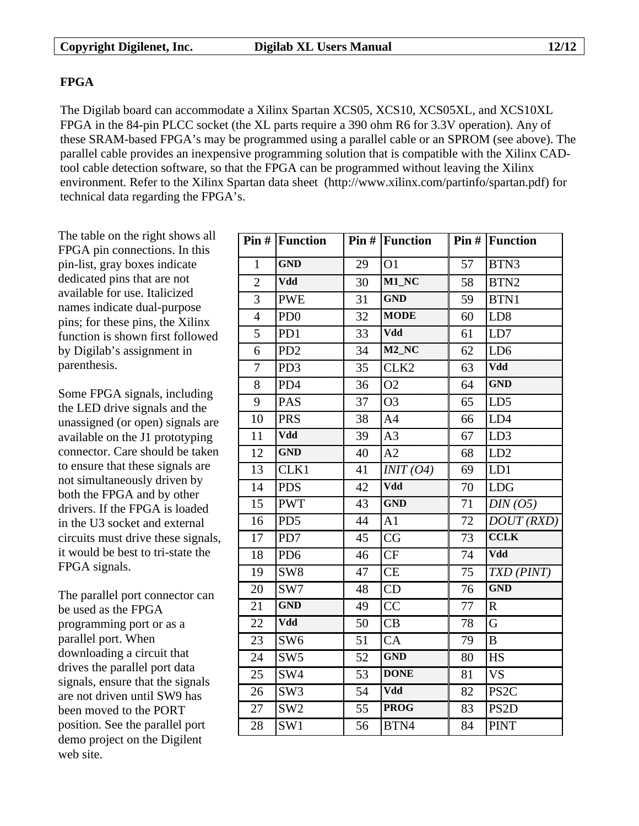# **FPGA**

The Digilab board can accommodate a Xilinx Spartan XCS05, XCS10, XCS05XL, and XCS10XL FPGA in the 84-pin PLCC socket (the XL parts require a 390 ohm R6 for 3.3V operation). Any of these SRAM-based FPGA's may be programmed using a parallel cable or an SPROM (see above). The parallel cable provides an inexpensive programming solution that is compatible with the Xilinx CADtool cable detection software, so that the FPGA can be programmed without leaving the Xilinx environment. Refer to the Xilinx Spartan data sheet (http://www.xilinx.com/partinfo/spartan.pdf) for technical data regarding the FPGA's.

The table on the right shows all FPGA pin connections. In this pin-list, gray boxes indicate dedicated pins that are not available for use. Italicized names indicate dual-purpose pins; for these pins, the Xilinx function is shown first followed by Digilab's assignment in parenthesis.

Some FPGA signals, including the LED drive signals and the unassigned (or open) signals are available on the J1 prototyping connector. Care should be taken to ensure that these signals are not simultaneously driven by both the FPGA and by other drivers. If the FPGA is loaded in the U3 socket and external circuits must drive these signals, it would be best to tri-state the FPGA signals.

The parallel port connector can be used as the FPGA programming port or as a parallel port. When downloading a circuit that drives the parallel port data signals, ensure that the signals are not driven until SW9 has been moved to the PORT position. See the parallel port demo project on the Digilent web site.

|                | $Pin#$ Function |    | $Pin#$ Function     |    | $Pin#$ Function   |
|----------------|-----------------|----|---------------------|----|-------------------|
| $\mathbf{1}$   | <b>GND</b>      | 29 | O <sub>1</sub>      | 57 | BTN3              |
| $\overline{2}$ | Vdd             | 30 | $M1$ <sub>_NC</sub> | 58 | BTN <sub>2</sub>  |
| $\overline{3}$ | <b>PWE</b>      | 31 | <b>GND</b>          | 59 | BTN1              |
| $\overline{4}$ | PD <sub>0</sub> | 32 | <b>MODE</b>         | 60 | LD <sub>8</sub>   |
| $\overline{5}$ | PD1             | 33 | Vdd                 | 61 | LD7               |
| 6              | PD <sub>2</sub> | 34 | $M2$ <sub>_NC</sub> | 62 | LD <sub>6</sub>   |
| $\overline{7}$ | PD <sub>3</sub> | 35 | CLK <sub>2</sub>    | 63 | Vdd               |
| 8              | PD4             | 36 | O <sub>2</sub>      | 64 | <b>GND</b>        |
| 9              | PAS             | 37 | O <sub>3</sub>      | 65 | LD5               |
| 10             | <b>PRS</b>      | 38 | A <sub>4</sub>      | 66 | LD4               |
| 11             | Vdd             | 39 | A <sub>3</sub>      | 67 | LD <sub>3</sub>   |
| 12             | <b>GND</b>      | 40 | A2                  | 68 | LD2               |
| 13             | CLK1            | 41 | INT (O4)            | 69 | LD1               |
| 14             | <b>PDS</b>      | 42 | Vdd                 | 70 | <b>LDG</b>        |
| 15             | <b>PWT</b>      | 43 | <b>GND</b>          | 71 | DIN(05)           |
| 16             | PD <sub>5</sub> | 44 | A <sub>1</sub>      | 72 | DOUT(RXD)         |
| 17             | PD7             | 45 | CG                  | 73 | <b>CCLK</b>       |
| 18             | PD <sub>6</sub> | 46 | CF                  | 74 | Vdd               |
| 19             | SW <sub>8</sub> | 47 | <b>CE</b>           | 75 | TXD (PINT)        |
| 20             | SW7             | 48 | CD                  | 76 | <b>GND</b>        |
| 21             | <b>GND</b>      | 49 | $\overline{CC}$     | 77 | $\mathbf R$       |
| 22             | Vdd             | 50 | CB                  | 78 | G                 |
| 23             | SW <sub>6</sub> | 51 | CA                  | 79 | $\overline{B}$    |
| 24             | SW <sub>5</sub> | 52 | <b>GND</b>          | 80 | <b>HS</b>         |
| 25             | SW4             | 53 | <b>DONE</b>         | 81 | <b>VS</b>         |
| 26             | SW <sub>3</sub> | 54 | Vdd                 | 82 | PS <sub>2C</sub>  |
| 27             | SW <sub>2</sub> | 55 | <b>PROG</b>         | 83 | PS <sub>2</sub> D |
| 28             | SW1             | 56 | BTN4                | 84 | <b>PINT</b>       |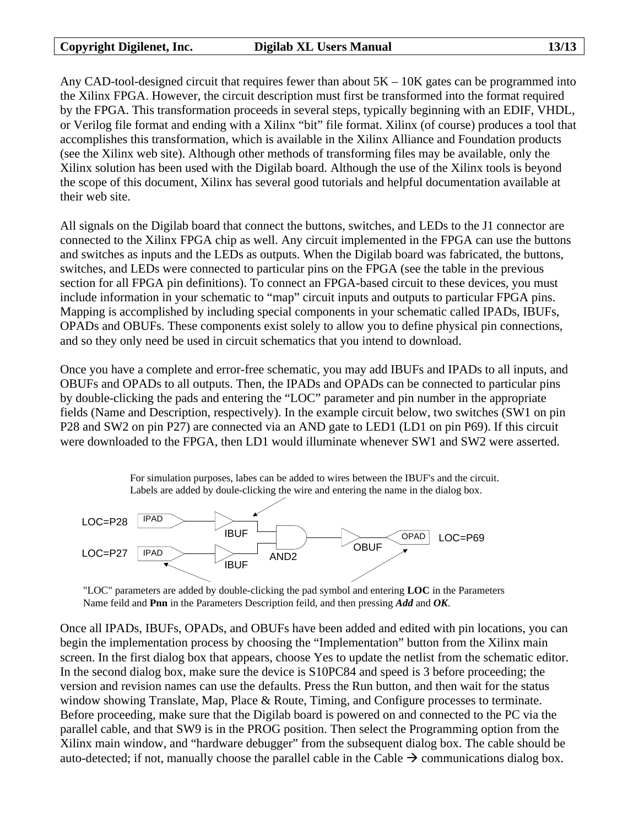Any CAD-tool-designed circuit that requires fewer than about  $5K - 10K$  gates can be programmed into the Xilinx FPGA. However, the circuit description must first be transformed into the format required by the FPGA. This transformation proceeds in several steps, typically beginning with an EDIF, VHDL, or Verilog file format and ending with a Xilinx "bit" file format. Xilinx (of course) produces a tool that accomplishes this transformation, which is available in the Xilinx Alliance and Foundation products (see the Xilinx web site). Although other methods of transforming files may be available, only the Xilinx solution has been used with the Digilab board. Although the use of the Xilinx tools is beyond the scope of this document, Xilinx has several good tutorials and helpful documentation available at their web site.

All signals on the Digilab board that connect the buttons, switches, and LEDs to the J1 connector are connected to the Xilinx FPGA chip as well. Any circuit implemented in the FPGA can use the buttons and switches as inputs and the LEDs as outputs. When the Digilab board was fabricated, the buttons, switches, and LEDs were connected to particular pins on the FPGA (see the table in the previous section for all FPGA pin definitions). To connect an FPGA-based circuit to these devices, you must include information in your schematic to "map" circuit inputs and outputs to particular FPGA pins. Mapping is accomplished by including special components in your schematic called IPADs, IBUFs, OPADs and OBUFs. These components exist solely to allow you to define physical pin connections, and so they only need be used in circuit schematics that you intend to download.

Once you have a complete and error-free schematic, you may add IBUFs and IPADs to all inputs, and OBUFs and OPADs to all outputs. Then, the IPADs and OPADs can be connected to particular pins by double-clicking the pads and entering the "LOC" parameter and pin number in the appropriate fields (Name and Description, respectively). In the example circuit below, two switches (SW1 on pin P28 and SW2 on pin P27) are connected via an AND gate to LED1 (LD1 on pin P69). If this circuit were downloaded to the FPGA, then LD1 would illuminate whenever SW1 and SW2 were asserted.

> For simulation purposes, labes can be added to wires between the IBUF's and the circuit. Labels are added by doule-clicking the wire and entering the name in the dialog box.



"LOC" parameters are added by double-clicking the pad symbol and entering **LOC** in the Parameters Name feild and **Pnn** in the Parameters Description feild, and then pressing *Add* and *OK*.

Once all IPADs, IBUFs, OPADs, and OBUFs have been added and edited with pin locations, you can begin the implementation process by choosing the "Implementation" button from the Xilinx main screen. In the first dialog box that appears, choose Yes to update the netlist from the schematic editor. In the second dialog box, make sure the device is S10PC84 and speed is 3 before proceeding; the version and revision names can use the defaults. Press the Run button, and then wait for the status window showing Translate, Map, Place & Route, Timing, and Configure processes to terminate. Before proceeding, make sure that the Digilab board is powered on and connected to the PC via the parallel cable, and that SW9 is in the PROG position. Then select the Programming option from the Xilinx main window, and "hardware debugger" from the subsequent dialog box. The cable should be auto-detected; if not, manually choose the parallel cable in the Cable  $\rightarrow$  communications dialog box.